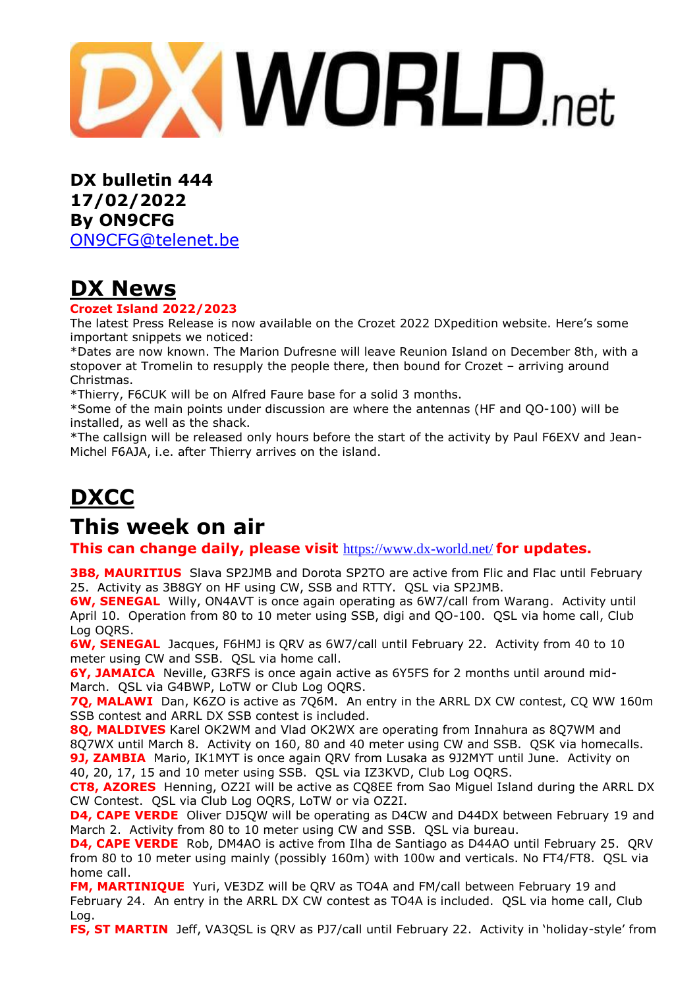**XWORLD**.net

**DX bulletin 444 17/02/2022 By ON9CFG** [ON9CFG@telenet.be](mailto:ON9CFG@telenet.be)

# **DX News**

#### **Crozet Island 2022/2023**

The latest Press Release is now available on the Crozet 2022 DXpedition [website.](http://crozet2022.r-e-f.org/) Here's some important snippets we noticed:

\*Dates are now known. The Marion Dufresne will leave Reunion Island on December 8th, with a stopover at Tromelin to resupply the people there, then bound for Crozet – arriving around Christmas.

\*Thierry, F6CUK will be on Alfred Faure base for a solid 3 months.

\*Some of the main points under discussion are where the antennas (HF and QO-100) will be installed, as well as the shack.

\*The callsign will be released only hours before the start of the activity by Paul F6EXV and Jean-Michel F6AJA, i.e. after Thierry arrives on the island.

# **DXCC**

## **This week on air**

**This can change daily, please visit** <https://www.dx-world.net/> **for updates.**

**3B8, MAURITIUS** Slava SP2JMB and Dorota SP2TO are active from Flic and Flac until February 25. Activity as 3B8GY on HF using CW, SSB and RTTY. QSL via SP2JMB.

**6W, SENEGAL** Willy, ON4AVT is once again operating as 6W7/call from Warang. Activity until April 10. Operation from 80 to 10 meter using SSB, digi and QO-100. QSL via home call, Club Log OQRS.

**6W, SENEGAL** Jacques, F6HMJ is QRV as 6W7/call until February 22. Activity from 40 to 10 meter using CW and SSB. QSL via home call.

**6Y, JAMAICA** Neville, G3RFS is once again active as 6Y5FS for 2 months until around mid-March. QSL via G4BWP, LoTW or Club Log OQRS.

**7Q, MALAWI** Dan, K6ZO is active as 7Q6M. An entry in the ARRL DX CW contest, CQ WW 160m SSB contest and ARRL DX SSB contest is included.

**8Q, MALDIVES** Karel OK2WM and Vlad OK2WX are operating from Innahura as 8Q7WM and 8Q7WX until March 8. Activity on 160, 80 and 40 meter using CW and SSB. QSK via homecalls. **9J, ZAMBIA** Mario, IK1MYT is once again QRV from Lusaka as 9J2MYT until June. Activity on 40, 20, 17, 15 and 10 meter using SSB. QSL via IZ3KVD, Club Log OQRS.

**CT8, AZORES** Henning, OZ2I will be active as CQ8EE from Sao Miguel Island during the ARRL DX CW Contest. QSL via Club Log OQRS, LoTW or via OZ2I.

**D4, CAPE VERDE** Oliver DJ5QW will be operating as D4CW and D44DX between February 19 and March 2. Activity from 80 to 10 meter using CW and SSB. QSL via bureau.

**D4, CAPE VERDE** Rob, DM4AO is active from Ilha de Santiago as D44AO until February 25. QRV from 80 to 10 meter using mainly (possibly 160m) with 100w and verticals. No FT4/FT8. QSL via home call.

**FM, MARTINIQUE** Yuri, VE3DZ will be QRV as TO4A and FM/call between February 19 and February 24. An entry in the ARRL DX CW contest as TO4A is included. QSL via home call, Club Log.

FS, ST MARTIN Jeff, VA3QSL is QRV as PJ7/call until February 22. Activity in 'holiday-style' from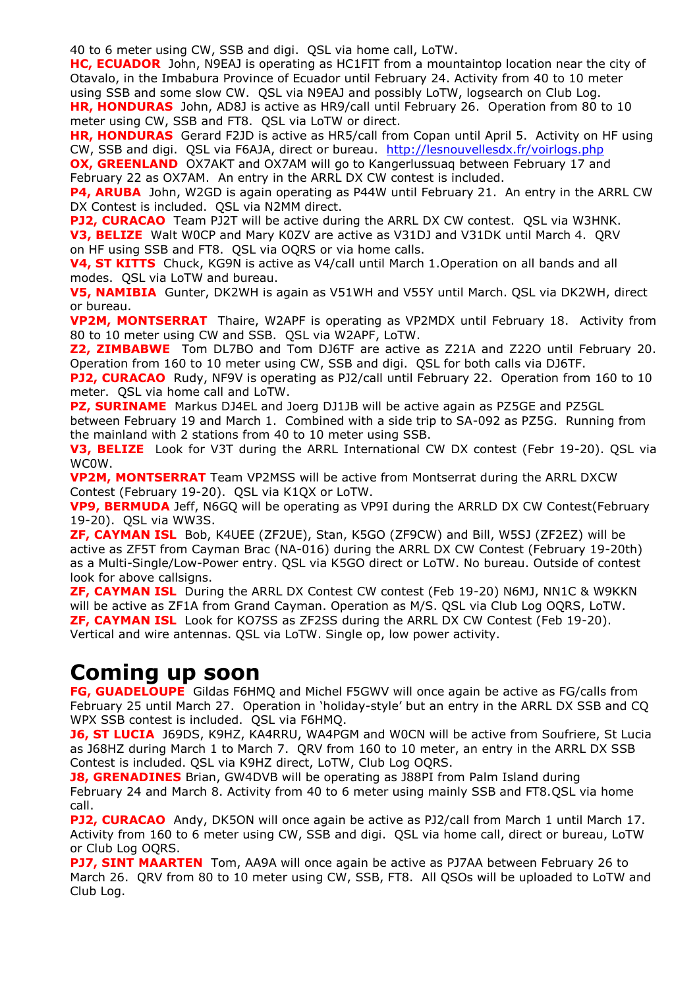40 to 6 meter using CW, SSB and digi. QSL via home call, LoTW.

**HC, ECUADOR** John, N9EAJ is operating as HC1FIT from a mountaintop location near the city of Otavalo, in the Imbabura Province of Ecuador until February 24. Activity from 40 to 10 meter using SSB and some slow CW. QSL via N9EAJ and possibly LoTW, logsearch on Club Log. **HR, HONDURAS** John, AD8J is active as HR9/call until February 26. Operation from 80 to 10 meter using CW, SSB and FT8. QSL via LoTW or direct.

**HR, HONDURAS** Gerard F2JD is active as HR5/call from Copan until April 5. Activity on HF using CW, SSB and digi. QSL via F6AJA, direct or bureau. <http://lesnouvellesdx.fr/voirlogs.php>

**OX, GREENLAND** OX7AKT and OX7AM will go to Kangerlussuag between February 17 and February 22 as OX7AM. An entry in the ARRL DX CW contest is included.

**P4, ARUBA** John, W2GD is again operating as P44W until February 21. An entry in the ARRL CW DX Contest is included. QSL via N2MM direct.

**PJ2, CURACAO** Team PJ2T will be active during the ARRL DX CW contest. QSL via W3HNK. **V3, BELIZE** Walt W0CP and Mary K0ZV are active as V31DJ and V31DK until March 4. QRV on HF using SSB and FT8. QSL via OQRS or via home calls.

**V4, ST KITTS** Chuck, KG9N is active as V4/call until March 1.Operation on all bands and all modes. QSL via LoTW and bureau.

**V5, NAMIBIA** Gunter, DK2WH is again as V51WH and V55Y until March. QSL via DK2WH, direct or bureau.

**VP2M, MONTSERRAT** Thaire, W2APF is operating as VP2MDX until February 18. Activity from 80 to 10 meter using CW and SSB. QSL via W2APF, LoTW.

**Z2, ZIMBABWE** Tom DL7BO and Tom DJ6TF are active as Z21A and Z22O until February 20. Operation from 160 to 10 meter using CW, SSB and digi. QSL for both calls via DJ6TF.

**PJ2, CURACAO** Rudy, NF9V is operating as PJ2/call until February 22. Operation from 160 to 10 meter. QSL via home call and LoTW.

**PZ, SURINAME** Markus DJ4EL and Joerg DJ1JB will be active again as PZ5GE and PZ5GL

between February 19 and March 1. Combined with a side trip to SA-092 as PZ5G. Running from the mainland with 2 stations from 40 to 10 meter using SSB.

**V3, BELIZE** Look for V3T during the ARRL International CW DX contest (Febr 19-20). QSL via WC0W.

**VP2M, MONTSERRAT** Team VP2MSS will be active from Montserrat during the ARRL DXCW Contest (February 19-20). QSL via K1QX or LoTW.

**VP9, BERMUDA** Jeff, N6GQ will be operating as VP9I during the ARRLD DX CW Contest(February 19-20). QSL via WW3S.

**ZF, CAYMAN ISL** Bob, K4UEE (ZF2UE), Stan, K5GO (ZF9CW) and Bill, W5SJ (ZF2EZ) will be active as ZF5T from Cayman Brac (NA-016) during the ARRL DX CW Contest (February 19-20th) as a Multi-Single/Low-Power entry. QSL via K5GO direct or LoTW. No bureau. Outside of contest look for above callsigns.

**ZF, CAYMAN ISL** During the ARRL DX Contest CW contest (Feb 19-20) N6MJ, NN1C & W9KKN will be active as ZF1A from Grand Cayman. Operation as M/S. QSL via Club Log OQRS, LoTW. **ZF, CAYMAN ISL** Look for KO7SS as ZF2SS during the ARRL DX CW Contest (Feb 19-20). Vertical and wire antennas. QSL via LoTW. Single op, low power activity.

## **Coming up soon**

**FG, GUADELOUPE** Gildas F6HMQ and Michel F5GWV will once again be active as FG/calls from February 25 until March 27. Operation in 'holiday-style' but an entry in the ARRL DX SSB and CQ WPX SSB contest is included. QSL via F6HMQ.

**J6, ST LUCIA** J69DS, K9HZ, KA4RRU, WA4PGM and W0CN will be active from Soufriere, St Lucia as J68HZ during March 1 to March 7. QRV from 160 to 10 meter, an entry in the ARRL DX SSB Contest is included. QSL via K9HZ direct, LoTW, Club Log OQRS.

**J8, GRENADINES** Brian, GW4DVB will be operating as J88PI from Palm Island during February 24 and March 8. Activity from 40 to 6 meter using mainly SSB and FT8.QSL via home call.

**PJ2, CURACAO** Andy, DK5ON will once again be active as PJ2/call from March 1 until March 17. Activity from 160 to 6 meter using CW, SSB and digi. QSL via home call, direct or bureau, LoTW or Club Log OQRS.

**PJ7, SINT MAARTEN** Tom, AA9A will once again be active as PJ7AA between February 26 to March 26. QRV from 80 to 10 meter using CW, SSB, FT8. All QSOs will be uploaded to LoTW and Club Log.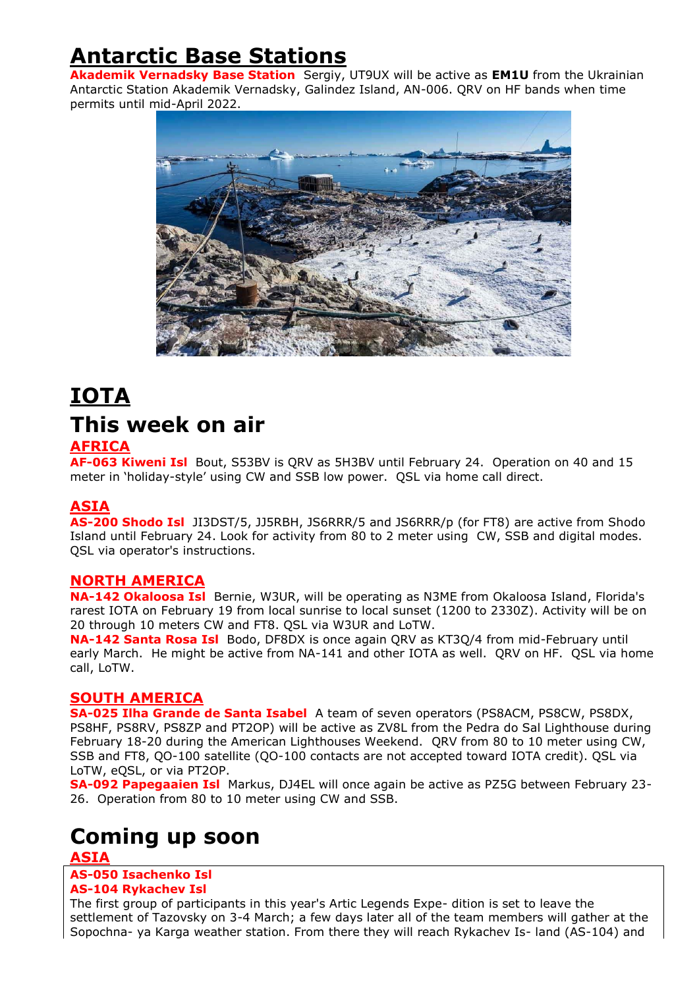## **Antarctic Base Stations**

**Akademik Vernadsky Base Station** Sergiy, UT9UX will be active as **EM1U** from the Ukrainian Antarctic Station Akademik Vernadsky, Galindez Island, AN-006. QRV on HF bands when time permits until mid-April 2022.



## **IOTA This week on air AFRICA**

**AF-063 Kiweni Isl** Bout, S53BV is QRV as 5H3BV until February 24. Operation on 40 and 15 meter in 'holiday-style' using CW and SSB low power. QSL via home call direct.

#### **ASIA**

**AS-200 Shodo Isl** JI3DST/5, JJ5RBH, JS6RRR/5 and JS6RRR/p (for FT8) are active from Shodo Island until February 24. Look for activity from 80 to 2 meter using CW, SSB and digital modes. QSL via operator's instructions.

#### **NORTH AMERICA**

**NA-142 Okaloosa Isl** Bernie, W3UR, will be operating as N3ME from Okaloosa Island, Florida's rarest IOTA on February 19 from local sunrise to local sunset (1200 to 2330Z). Activity will be on 20 through 10 meters CW and FT8. QSL via W3UR and LoTW.

**NA-142 Santa Rosa Isl** Bodo, DF8DX is once again QRV as KT3Q/4 from mid-February until early March. He might be active from NA-141 and other IOTA as well. QRV on HF. QSL via home call, LoTW.

#### **SOUTH AMERICA**

**SA-025 Ilha Grande de Santa Isabel** A team of seven operators (PS8ACM, PS8CW, PS8DX, PS8HF, PS8RV, PS8ZP and PT2OP) will be active as ZV8L from the Pedra do Sal Lighthouse during February 18-20 during the American Lighthouses Weekend. QRV from 80 to 10 meter using CW, SSB and FT8, QO-100 satellite (QO-100 contacts are not accepted toward IOTA credit). QSL via LoTW, eQSL, or via PT2OP.

**SA-092 Papegaaien Isl** Markus, DJ4EL will once again be active as PZ5G between February 23- 26. Operation from 80 to 10 meter using CW and SSB.

## **Coming up soon**

#### **ASIA**

**AS-050 Isachenko Isl AS-104 Rykachev Isl**

The first group of participants in this year's Artic Legends Expe- dition is set to leave the settlement of Tazovsky on 3-4 March; a few days later all of the team members will gather at the Sopochna- ya Karga weather station. From there they will reach Rykachev Is- land (AS-104) and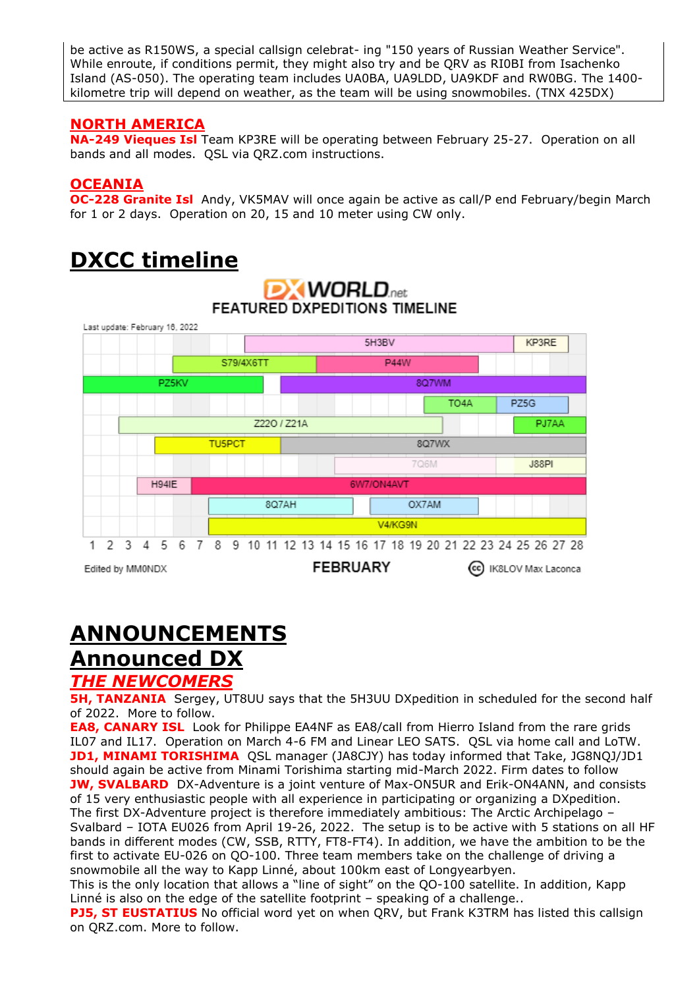be active as R150WS, a special callsign celebrat- ing "150 years of Russian Weather Service". While enroute, if conditions permit, they might also try and be QRV as RI0BI from Isachenko Island (AS-050). The operating team includes UA0BA, UA9LDD, UA9KDF and RW0BG. The 1400 kilometre trip will depend on weather, as the team will be using snowmobiles. (TNX 425DX)

#### **NORTH AMERICA**

**NA-249 Vieques Isl** Team KP3RE will be operating between February 25-27. Operation on all bands and all modes. QSL via QRZ.com instructions.

#### **OCEANIA**

**OC-228 Granite Isl** Andy, VK5MAV will once again be active as call/P end February/begin March for 1 or 2 days. Operation on 20, 15 and 10 meter using CW only.

# **DXCC timeline**



# **ANNOUNCEMENTS**

# **Announced DX**

## *THE NEWCOMERS*

**5H, TANZANIA** Sergey, UT8UU says that the 5H3UU DXpedition in scheduled for the second half of 2022. More to follow.

**EA8, CANARY ISL** Look for Philippe EA4NF as EA8/call from Hierro Island from the rare grids IL07 and IL17. Operation on March 4-6 FM and Linear LEO SATS. QSL via home call and LoTW. **JD1, MINAMI TORISHIMA** QSL manager (JA8CJY) has today informed that Take, JG8NQJ/JD1 should again be active from Minami Torishima starting mid-March 2022. Firm dates to follow **JW, SVALBARD** DX-Adventure is a joint venture of Max-ON5UR and Erik-ON4ANN, and consists of 15 very enthusiastic people with all experience in participating or organizing a DXpedition. The first DX-Adventure project is therefore immediately ambitious: The Arctic Archipelago – Svalbard – IOTA EU026 from April 19-26, 2022. The setup is to be active with 5 stations on all HF bands in different modes (CW, SSB, RTTY, FT8-FT4). In addition, we have the ambition to be the first to activate EU-026 on QO-100. Three team members take on the challenge of driving a snowmobile all the way to Kapp Linné, about 100km east of Longyearbyen.

This is the only location that allows a "line of sight" on the QO-100 satellite. In addition, Kapp Linné is also on the edge of the satellite footprint – speaking of a challenge..

**PJ5, ST EUSTATIUS** No official word yet on when QRV, but Frank K3TRM has listed this callsign on QRZ.com. More to follow.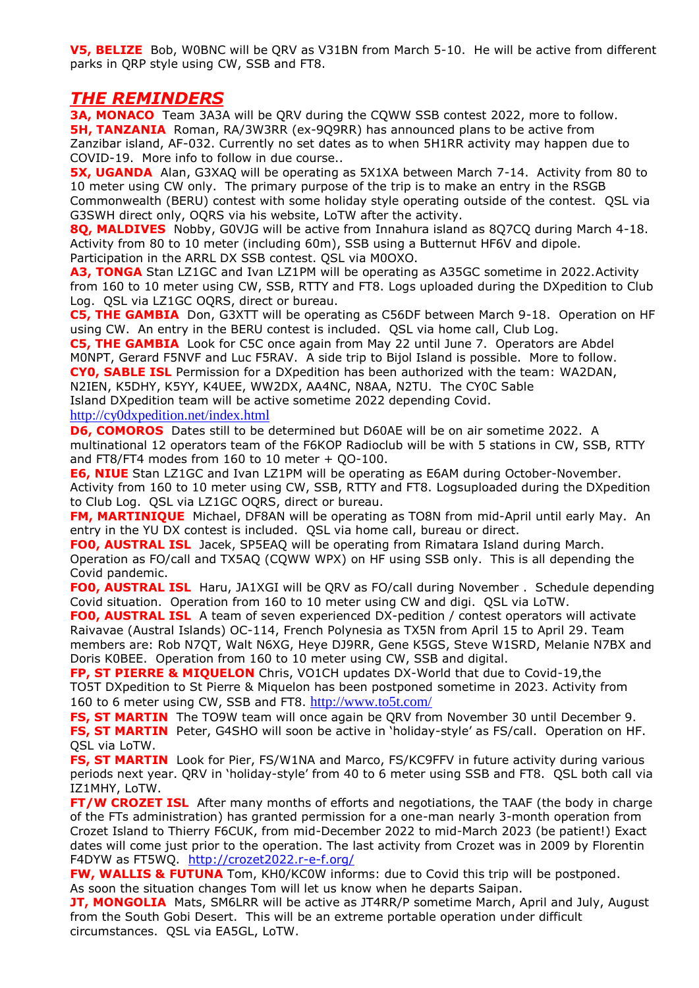**V5, BELIZE** Bob, W0BNC will be QRV as V31BN from March 5-10. He will be active from different parks in QRP style using CW, SSB and FT8.

#### *THE REMINDERS*

**3A, MONACO** Team 3A3A will be QRV during the CQWW SSB contest 2022, more to follow. **5H, TANZANIA** Roman, RA/3W3RR (ex-9Q9RR) has announced plans to be active from Zanzibar island, AF-032. Currently no set dates as to when 5H1RR activity may happen due to COVID-19. More info to follow in due course..

**5X, UGANDA** Alan, G3XAQ will be operating as 5X1XA between March 7-14. Activity from 80 to 10 meter using CW only. The primary purpose of the trip is to make an entry in the RSGB Commonwealth (BERU) contest with some holiday style operating outside of the contest. QSL via G3SWH direct only, OQRS via his website, LoTW after the activity.

**8Q, MALDIVES** Nobby, G0VJG will be active from Innahura island as 8Q7CQ during March 4-18. Activity from 80 to 10 meter (including 60m), SSB using a Butternut HF6V and dipole. Participation in the ARRL DX SSB contest. QSL via M0OXO.

**A3, TONGA** Stan LZ1GC and Ivan LZ1PM will be operating as A35GC sometime in 2022.Activity from 160 to 10 meter using CW, SSB, RTTY and FT8. Logs uploaded during the DXpedition to Club Log. QSL via LZ1GC OQRS, direct or bureau.

**C5, THE GAMBIA** Don, G3XTT will be operating as C56DF between March 9-18. Operation on HF using CW. An entry in the BERU contest is included. QSL via home call, Club Log.

**C5, THE GAMBIA** Look for C5C once again from May 22 until June 7. Operators are Abdel M0NPT, Gerard F5NVF and Luc F5RAV. A side trip to Bijol Island is possible. More to follow. **CY0, SABLE ISL** Permission for a DXpedition has been authorized with the team: WA2DAN, N2IEN, K5DHY, K5YY, K4UEE, WW2DX, AA4NC, N8AA, N2TU. The CY0C Sable Island DXpedition team will be active sometime 2022 depending Covid.

#### <http://cy0dxpedition.net/index.html>

**D6, COMOROS** Dates still to be determined but D60AE will be on air sometime 2022. A multinational 12 operators team of the F6KOP Radioclub will be with 5 stations in CW, SSB, RTTY and FT8/FT4 modes from 160 to 10 meter + QO-100.

**E6, NIUE** Stan LZ1GC and Ivan LZ1PM will be operating as E6AM during October-November. Activity from 160 to 10 meter using CW, SSB, RTTY and FT8. Logsuploaded during the DXpedition to Club Log. QSL via LZ1GC OQRS, direct or bureau.

**FM, MARTINIQUE** Michael, DF8AN will be operating as TO8N from mid-April until early May. An entry in the YU DX contest is included. QSL via home call, bureau or direct.

**FO0, AUSTRAL ISL** Jacek, SP5EAQ will be operating from Rimatara Island during March. Operation as FO/call and TX5AQ (CQWW WPX) on HF using SSB only. This is all depending the Covid pandemic.

**FO0, AUSTRAL ISL** Haru, JA1XGI will be QRV as FO/call during November . Schedule depending Covid situation. Operation from 160 to 10 meter using CW and digi. QSL via LoTW.

**FO0, AUSTRAL ISL** A team of seven experienced DX-pedition / contest operators will activate Raivavae (Austral Islands) OC-114, French Polynesia as TX5N from April 15 to April 29. Team members are: Rob N7QT, Walt N6XG, Heye DJ9RR, Gene K5GS, Steve W1SRD, Melanie N7BX and Doris K0BEE. Operation from 160 to 10 meter using CW, SSB and digital.

**FP, ST PIERRE & MIQUELON** Chris, VO1CH updates DX-World that due to Covid-19,the TO5T DXpedition to St Pierre & Miquelon has been postponed sometime in 2023. Activity from 160 to 6 meter using CW, SSB and FT8. <http://www.to5t.com/>

**FS, ST MARTIN** The TO9W team will once again be QRV from November 30 until December 9. **FS, ST MARTIN** Peter, G4SHO will soon be active in 'holiday-style' as FS/call. Operation on HF. QSL via LoTW.

**FS, ST MARTIN** Look for Pier, FS/W1NA and Marco, FS/KC9FFV in future activity during various periods next year. QRV in 'holiday-style' from 40 to 6 meter using SSB and FT8. QSL both call via IZ1MHY, LoTW.

**FT/W CROZET ISL** After many months of efforts and negotiations, the TAAF (the body in charge of the FTs administration) has granted permission for a one-man nearly 3-month operation from Crozet Island to Thierry F6CUK, from mid-December 2022 to mid-March 2023 (be patient!) Exact dates will come just prior to the operation. The last activity from Crozet was in 2009 by Florentin F4DYW as FT5WQ. <http://crozet2022.r-e-f.org/>

**FW, WALLIS & FUTUNA** Tom, KH0/KC0W informs: due to Covid this trip will be postponed. As soon the situation changes Tom will let us know when he departs Saipan.

**JT, MONGOLIA** Mats, SM6LRR will be active as JT4RR/P sometime March, April and July, August from the South Gobi Desert. This will be an extreme portable operation under difficult circumstances. QSL via EA5GL, LoTW.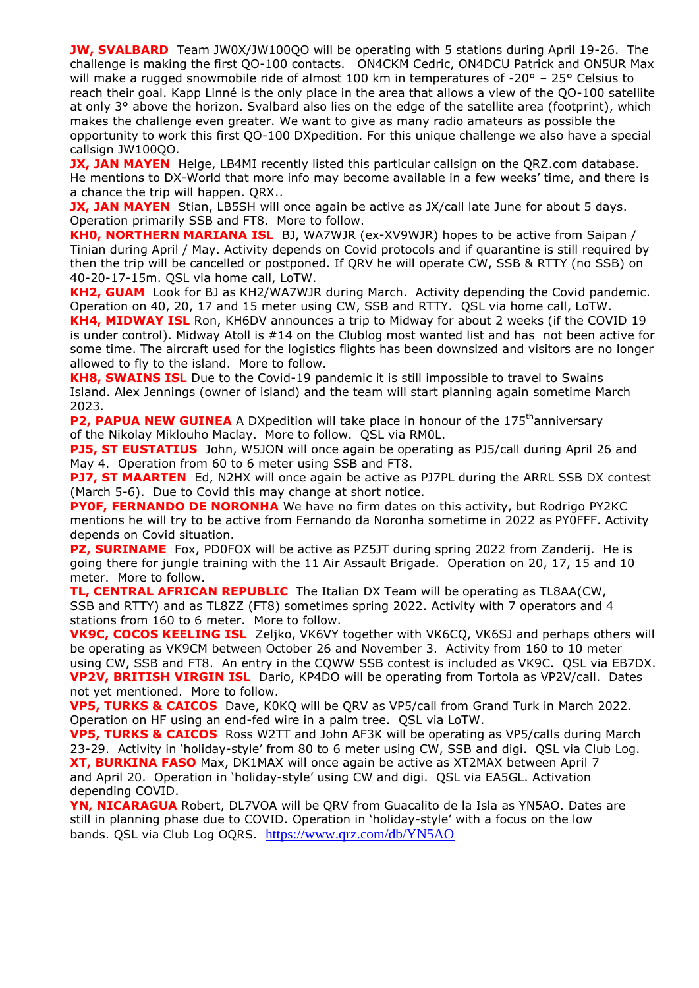**JW, SVALBARD** Team JW0X/JW10000 will be operating with 5 stations during April 19-26. The challenge is making the first QO-100 contacts. ON4CKM Cedric, ON4DCU Patrick and ON5UR Max will make a rugged snowmobile ride of almost 100 km in temperatures of  $-20^{\circ}$  – 25° Celsius to reach their goal. Kapp Linné is the only place in the area that allows a view of the QO-100 satellite at only 3° above the horizon. Svalbard also lies on the edge of the satellite area (footprint), which makes the challenge even greater. We want to give as many radio amateurs as possible the opportunity to work this first QO-100 DXpedition. For this unique challenge we also have a special callsign JW100QO.

**JX, JAN MAYEN** Helge, LB4MI recently listed this particular callsign on the QRZ.com database. He mentions to DX-World that more info may become available in a few weeks' time, and there is a chance the trip will happen. QRX..

**JX, JAN MAYEN** Stian, LB5SH will once again be active as JX/call late June for about 5 days. Operation primarily SSB and FT8. More to follow.

**KH0, NORTHERN MARIANA ISL** BJ, WA7WJR (ex-XV9WJR) hopes to be active from Saipan / Tinian during April / May. Activity depends on Covid protocols and if quarantine is still required by then the trip will be cancelled or postponed. If QRV he will operate CW, SSB & RTTY (no SSB) on 40-20-17-15m. QSL via home call, LoTW.

**KH2, GUAM** Look for BJ as KH2/WA7WJR during March. Activity depending the Covid pandemic. Operation on 40, 20, 17 and 15 meter using CW, SSB and RTTY. QSL via home call, LoTW.

**KH4, MIDWAY ISL** Ron, KH6DV announces a trip to Midway for about 2 weeks (if the COVID 19 is under control). Midway Atoll is #14 on the Clublog most wanted list and has not been active for some time. The aircraft used for the logistics flights has been downsized and visitors are no longer allowed to fly to the island. More to follow.

**KH8, SWAINS ISL** Due to the Covid-19 pandemic it is still impossible to travel to Swains Island. Alex Jennings (owner of island) and the team will start planning again sometime March 2023.

**P2, PAPUA NEW GUINEA** A DXpedition will take place in honour of the 175<sup>th</sup>anniversary of the Nikolay Miklouho Maclay. More to follow. QSL via RM0L.

**PJ5, ST EUSTATIUS** John, W5JON will once again be operating as PJ5/call during April 26 and May 4. Operation from 60 to 6 meter using SSB and FT8.

**PJ7, ST MAARTEN** Ed, N2HX will once again be active as PJ7PL during the ARRL SSB DX contest (March 5-6). Due to Covid this may change at short notice.

**PY0F, FERNANDO DE NORONHA** We have no firm dates on this activity, but Rodrigo PY2KC mentions he will try to be active from Fernando da Noronha sometime in 2022 as PY0FFF. Activity depends on Covid situation.

**PZ, SURINAME** Fox, PD0FOX will be active as PZ5JT during spring 2022 from Zanderij. He is going there for jungle training with the 11 Air Assault Brigade. Operation on 20, 17, 15 and 10 meter. More to follow.

**TL, CENTRAL AFRICAN REPUBLIC** The Italian DX Team will be operating as TL8AA(CW, SSB and RTTY) and as TL8ZZ (FT8) sometimes spring 2022. Activity with 7 operators and 4 stations from 160 to 6 meter. More to follow.

**VK9C, COCOS KEELING ISL** Zeljko, VK6VY together with VK6CQ, VK6SJ and perhaps others will be operating as VK9CM between October 26 and November 3. Activity from 160 to 10 meter using CW, SSB and FT8. An entry in the CQWW SSB contest is included as VK9C. QSL via EB7DX. **VP2V, BRITISH VIRGIN ISL** Dario, KP4DO will be operating from Tortola as VP2V/call. Dates not yet mentioned. More to follow.

**VP5, TURKS & CAICOS** Dave, K0KQ will be QRV as VP5/call from Grand Turk in March 2022. Operation on HF using an end-fed wire in a palm tree. QSL via LoTW.

**VP5, TURKS & CAICOS** Ross W2TT and John AF3K will be operating as VP5/calls during March 23-29. Activity in 'holiday-style' from 80 to 6 meter using CW, SSB and digi. QSL via Club Log. **XT, BURKINA FASO** Max, DK1MAX will once again be active as XT2MAX between April 7 and April 20. Operation in 'holiday-style' using CW and digi. QSL via EA5GL. Activation depending COVID.

**YN, NICARAGUA** Robert, DL7VOA will be QRV from Guacalito de la Isla as YN5AO. Dates are still in planning phase due to COVID. Operation in 'holiday-style' with a focus on the low bands. QSL via Club Log OQRS. <https://www.qrz.com/db/YN5AO>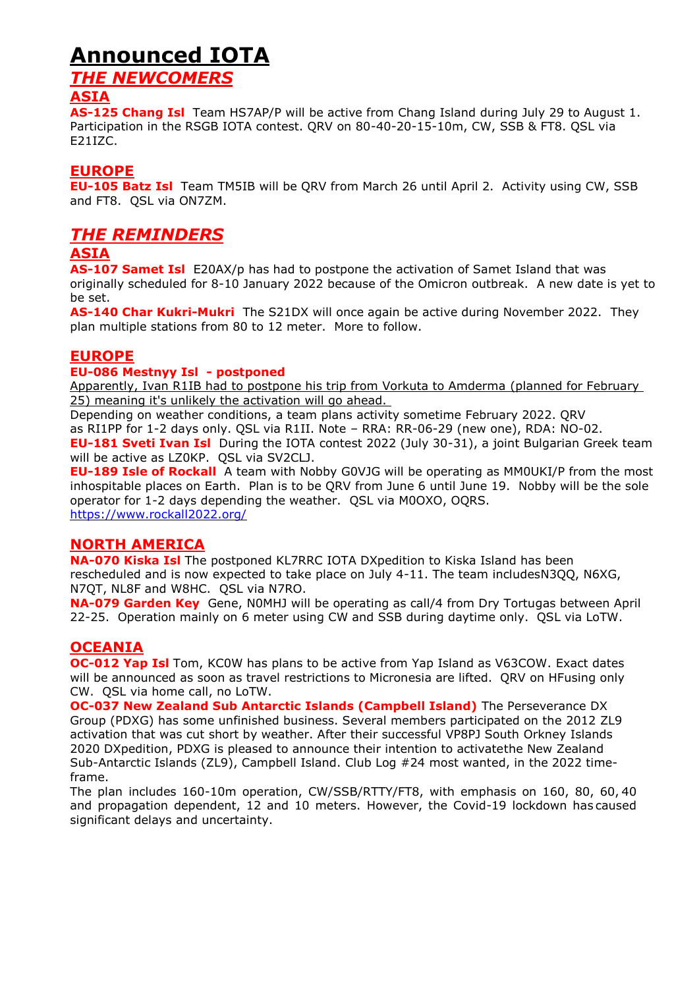## **Announced IOTA**

### *THE NEWCOMERS*

#### **ASIA**

**AS-125 Chang Isl** Team HS7AP/P will be active from Chang Island during July 29 to August 1. Participation in the RSGB IOTA contest. QRV on 80-40-20-15-10m, CW, SSB & FT8. QSL via E21IZC.

#### **EUROPE**

**EU-105 Batz Isl** Team TM5IB will be QRV from March 26 until April 2. Activity using CW, SSB and FT8. QSL via ON7ZM.

#### *THE REMINDERS*

#### **ASIA**

**AS-107 Samet Isl** E20AX/p has had to postpone the activation of Samet Island that was originally scheduled for 8-10 January 2022 because of the Omicron outbreak. A new date is yet to be set.

**AS-140 Char Kukri-Mukri** The S21DX will once again be active during November 2022. They plan multiple stations from 80 to 12 meter. More to follow.

#### **EUROPE**

#### **EU-086 Mestnyy Isl - postponed**

Apparently, Ivan R1IB had to postpone his trip from Vorkuta to Amderma (planned for February 25) meaning it's unlikely the activation will go ahead.

Depending on weather conditions, a team plans activity sometime February 2022. QRV as RI1PP for 1-2 days only. QSL via R1II. Note – RRA: RR-06-29 (new one), RDA: NO-02. **EU-181 Sveti Ivan Isl** During the IOTA contest 2022 (July 30-31), a joint Bulgarian Greek team will be active as LZ0KP. QSL via SV2CLJ.

**EU-189 Isle of Rockall** A team with Nobby G0VJG will be operating as MM0UKI/P from the most inhospitable places on Earth. Plan is to be QRV from June 6 until June 19. Nobby will be the sole operator for 1-2 days depending the weather. QSL via M0OXO, OQRS. <https://www.rockall2022.org/>

#### **NORTH AMERICA**

**NA-070 Kiska Isl** The postponed KL7RRC IOTA DXpedition to Kiska Island has been rescheduled and is now expected to take place on July 4-11. The team includesN3QQ, N6XG, N7QT, NL8F and W8HC. QSL via N7RO.

**NA-079 Garden Key** Gene, N0MHJ will be operating as call/4 from Dry Tortugas between April 22-25. Operation mainly on 6 meter using CW and SSB during daytime only. QSL via LoTW.

#### **OCEANIA**

**OC-012 Yap Isl** Tom, KC0W has plans to be active from Yap Island as V63COW. Exact dates will be announced as soon as travel restrictions to Micronesia are lifted. QRV on HFusing only CW. QSL via home call, no LoTW.

**OC-037 New Zealand Sub Antarctic Islands (Campbell Island)** The Perseverance DX Group (PDXG) has some unfinished business. Several members participated on the 2012 ZL9 activation that was cut short by weather. After their successful VP8PJ South Orkney Islands 2020 DXpedition, PDXG is pleased to announce their intention to activatethe New Zealand Sub-Antarctic Islands (ZL9), Campbell Island. Club Log #24 most wanted, in the 2022 timeframe.

The plan includes 160-10m operation, CW/SSB/RTTY/FT8, with emphasis on 160, 80, 60, 40 and propagation dependent, 12 and 10 meters. However, the Covid-19 lockdown has caused significant delays and uncertainty.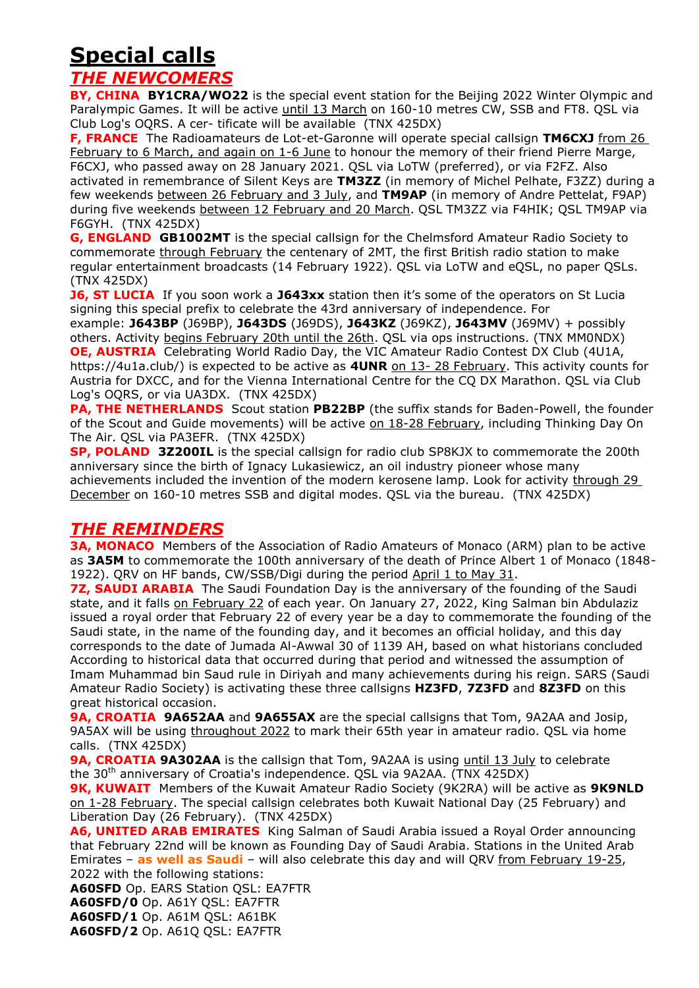## **Special calls**

#### *THE NEWCOMERS*

**BY, CHINA BY1CRA/WO22** is the special event station for the Beijing 2022 Winter Olympic and Paralympic Games. It will be active until 13 March on 160-10 metres CW, SSB and FT8. QSL via Club Log's OQRS. A cer- tificate will be available (TNX 425DX)

**F, FRANCE** The Radioamateurs de Lot-et-Garonne will operate special callsign **TM6CXJ** from 26 February to 6 March, and again on 1-6 June to honour the memory of their friend Pierre Marge, F6CXJ, who passed away on 28 January 2021. QSL via LoTW (preferred), or via F2FZ. Also activated in remembrance of Silent Keys are **TM3ZZ** (in memory of Michel Pelhate, F3ZZ) during a few weekends between 26 February and 3 July, and **TM9AP** (in memory of Andre Pettelat, F9AP) during five weekends between 12 February and 20 March. QSL TM3ZZ via F4HIK; QSL TM9AP via F6GYH. (TNX 425DX)

**G, ENGLAND GB1002MT** is the special callsign for the Chelmsford Amateur Radio Society to commemorate through February the centenary of 2MT, the first British radio station to make regular entertainment broadcasts (14 February 1922). QSL via LoTW and eQSL, no paper QSLs. (TNX 425DX)

**J6, ST LUCIA** If you soon work a J643xx station then it's some of the operators on St Lucia signing this special prefix to celebrate the 43rd anniversary of independence. For

example: **J643BP** (J69BP), **J643DS** (J69DS), **J643KZ** (J69KZ), **J643MV** (J69MV) + possibly others. Activity begins February 20th until the 26th. QSL via ops instructions. (TNX MM0NDX) **OE, AUSTRIA** Celebrating World Radio Day, the VIC Amateur Radio Contest DX Club (4U1A, https://4u1a.club/) is expected to be active as **4UNR** on 13- 28 February. This activity counts for Austria for DXCC, and for the Vienna International Centre for the CQ DX Marathon. QSL via Club Log's OQRS, or via UA3DX. (TNX 425DX)

**PA, THE NETHERLANDS** Scout station PB22BP (the suffix stands for Baden-Powell, the founder of the Scout and Guide movements) will be active on 18-28 February, including Thinking Day On The Air. QSL via PA3EFR. (TNX 425DX)

**SP, POLAND 3Z200IL** is the special callsign for radio club SP8KJX to commemorate the 200th anniversary since the birth of Ignacy Lukasiewicz, an oil industry pioneer whose many achievements included the invention of the modern kerosene lamp. Look for activity through 29 December on 160-10 metres SSB and digital modes. QSL via the bureau. (TNX 425DX)

## *THE REMINDERS*

**3A, MONACO** Members of the Association of Radio Amateurs of Monaco (ARM) plan to be active as **3A5M** to commemorate the 100th anniversary of the death of Prince Albert 1 of Monaco (1848- 1922). QRV on HF bands, CW/SSB/Digi during the period April 1 to May 31.

**7Z, SAUDI ARABIA** The Saudi Foundation Day is the anniversary of the founding of the Saudi state, and it falls on February 22 of each year. On January 27, 2022, King Salman bin Abdulaziz issued a royal order that February 22 of every year be a day to commemorate the founding of the Saudi state, in the name of the founding day, and it becomes an official holiday, and this day corresponds to the date of Jumada Al-Awwal 30 of 1139 AH, based on what historians concluded According to historical data that occurred during that period and witnessed the assumption of Imam Muhammad bin Saud rule in Diriyah and many achievements during his reign. SARS (Saudi Amateur Radio Society) is activating these three callsigns **HZ3FD**, **7Z3FD** and **8Z3FD** on this great historical occasion.

**9A, CROATIA 9A652AA** and **9A655AX** are the special callsigns that Tom, 9A2AA and Josip, 9A5AX will be using throughout 2022 to mark their 65th year in amateur radio. QSL via home calls. (TNX 425DX)

**9A, CROATIA 9A302AA** is the callsign that Tom, 9A2AA is using until 13 July to celebrate the 30<sup>th</sup> anniversary of Croatia's independence. QSL via 9A2AA. (TNX 425DX)

**9K, KUWAIT** Members of the Kuwait Amateur Radio Society (9K2RA) will be active as **9K9NLD** on 1-28 February. The special callsign celebrates both Kuwait National Day (25 February) and Liberation Day (26 February). (TNX 425DX)

**A6, UNITED ARAB EMIRATES** King Salman of Saudi Arabia issued a Royal Order announcing that February 22nd will be known as Founding Day of Saudi Arabia. Stations in the United Arab Emirates – **as well as [Saudi](https://www.dx-world.net/7z3fd-8z3fd-hz3fd-saudi-arabia/)** – will also celebrate this day and will QRV from February 19-25, 2022 with the following stations:

**A60SFD** Op. EARS Station QSL: EA7FTR **A60SFD/0** Op. A61Y QSL: EA7FTR **A60SFD/1** Op. A61M QSL: A61BK **A60SFD/2** Op. A61Q QSL: EA7FTR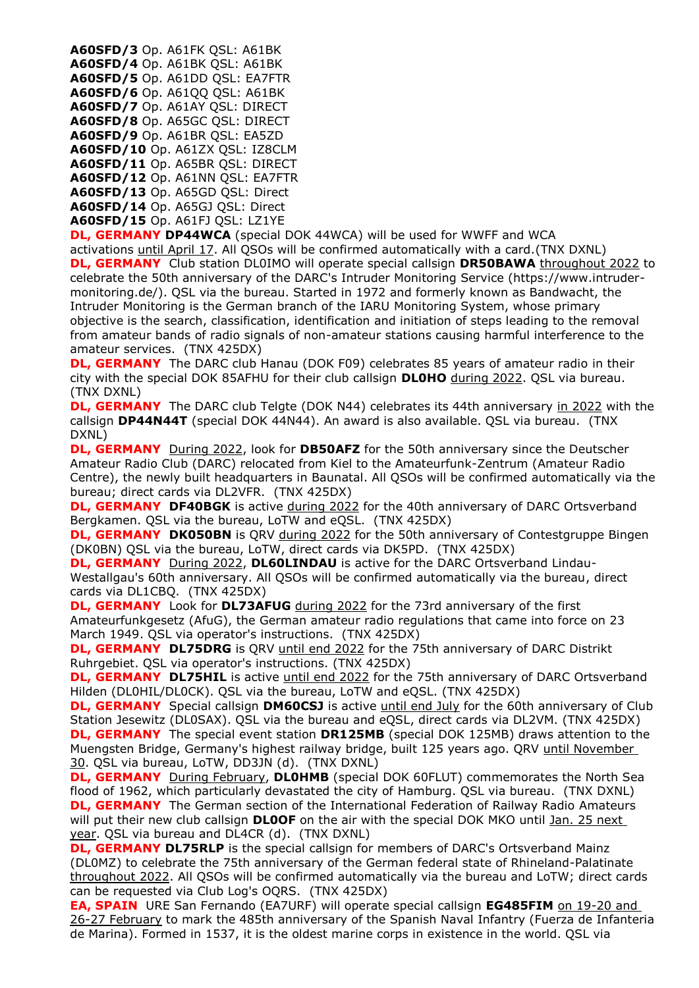**A60SFD/3** Op. A61FK QSL: A61BK **A60SFD/4** Op. A61BK QSL: A61BK **A60SFD/5** Op. A61DD QSL: EA7FTR **A60SFD/6** Op. A61QQ QSL: A61BK **A60SFD/7** Op. A61AY QSL: DIRECT **A60SFD/8** Op. A65GC QSL: DIRECT **A60SFD/9** Op. A61BR QSL: EA5ZD **A60SFD/10** Op. A61ZX QSL: IZ8CLM **A60SFD/11** Op. A65BR QSL: DIRECT **A60SFD/12** Op. A61NN QSL: EA7FTR **A60SFD/13** Op. A65GD QSL: Direct **A60SFD/14** Op. A65GJ QSL: Direct **A60SFD/15** Op. A61FJ QSL: LZ1YE

**DL, GERMANY DP44WCA** (special DOK 44WCA) will be used for WWFF and WCA activations until April 17. All QSOs will be confirmed automatically with a card.(TNX DXNL) **DL, GERMANY** Club station DL0IMO will operate special callsign **DR50BAWA** throughout 2022 to celebrate the 50th anniversary of the DARC's Intruder Monitoring Service (https://www.intrudermonitoring.de/). QSL via the bureau. Started in 1972 and formerly known as Bandwacht, the Intruder Monitoring is the German branch of the IARU Monitoring System, whose primary objective is the search, classification, identification and initiation of steps leading to the removal from amateur bands of radio signals of non-amateur stations causing harmful interference to the amateur services. (TNX 425DX)

**DL, GERMANY** The DARC club Hanau (DOK F09) celebrates 85 years of amateur radio in their city with the special DOK 85AFHU for their club callsign **DL0HO** during 2022. QSL via bureau. (TNX DXNL)

**DL, GERMANY** The DARC club Telgte (DOK N44) celebrates its 44th anniversary in 2022 with the callsign **DP44N44T** (special DOK 44N44). An award is also available. QSL via bureau. (TNX DXNL)

**DL, GERMANY** During 2022, look for **DB50AFZ** for the 50th anniversary since the Deutscher Amateur Radio Club (DARC) relocated from Kiel to the Amateurfunk-Zentrum (Amateur Radio Centre), the newly built headquarters in Baunatal. All QSOs will be confirmed automatically via the bureau; direct cards via DL2VFR. (TNX 425DX)

**DL, GERMANY DF40BGK** is active during 2022 for the 40th anniversary of DARC Ortsverband Bergkamen. QSL via the bureau, LoTW and eQSL. (TNX 425DX)

**DL, GERMANY DK050BN** is QRV during 2022 for the 50th anniversary of Contestgruppe Bingen (DK0BN) QSL via the bureau, LoTW, direct cards via DK5PD. (TNX 425DX)

**DL, GERMANY** During 2022, **DL60LINDAU** is active for the DARC Ortsverband Lindau-Westallgau's 60th anniversary. All QSOs will be confirmed automatically via the bureau, direct cards via DL1CBQ. (TNX 425DX)

**DL, GERMANY** Look for **DL73AFUG** during 2022 for the 73rd anniversary of the first Amateurfunkgesetz (AfuG), the German amateur radio regulations that came into force on 23 March 1949. QSL via operator's instructions. (TNX 425DX)

**DL, GERMANY DL75DRG** is ORV until end 2022 for the 75th anniversary of DARC Distrikt Ruhrgebiet. QSL via operator's instructions. (TNX 425DX)

**DL, GERMANY DL75HIL** is active until end 2022 for the 75th anniversary of DARC Ortsverband Hilden (DL0HIL/DL0CK). QSL via the bureau, LoTW and eQSL. (TNX 425DX)

**DL, GERMANY** Special callsign **DM60CSJ** is active until end July for the 60th anniversary of Club Station Jesewitz (DL0SAX). QSL via the bureau and eQSL, direct cards via DL2VM. (TNX 425DX) **DL, GERMANY** The special event station **DR125MB** (special DOK 125MB) draws attention to the Muengsten Bridge, Germany's highest railway bridge, built 125 years ago. QRV until November 30. QSL via bureau, LoTW, DD3JN (d). (TNX DXNL)

**DL, GERMANY** During February, DLOHMB (special DOK 60FLUT) commemorates the North Sea flood of 1962, which particularly devastated the city of Hamburg. QSL via bureau. (TNX DXNL) **DL, GERMANY** The German section of the International Federation of Railway Radio Amateurs will put their new club callsign **DL0OF** on the air with the special DOK MKO until Jan. 25 next year. QSL via bureau and DL4CR (d). (TNX DXNL)

**DL, GERMANY DL75RLP** is the special callsign for members of DARC's Ortsverband Mainz (DL0MZ) to celebrate the 75th anniversary of the German federal state of Rhineland-Palatinate throughout 2022. All QSOs will be confirmed automatically via the bureau and LoTW; direct cards can be requested via Club Log's OQRS. (TNX 425DX)

**EA, SPAIN** URE San Fernando (EA7URF) will operate special callsign **EG485FIM** on 19-20 and 26-27 February to mark the 485th anniversary of the Spanish Naval Infantry (Fuerza de Infanteria de Marina). Formed in 1537, it is the oldest marine corps in existence in the world. QSL via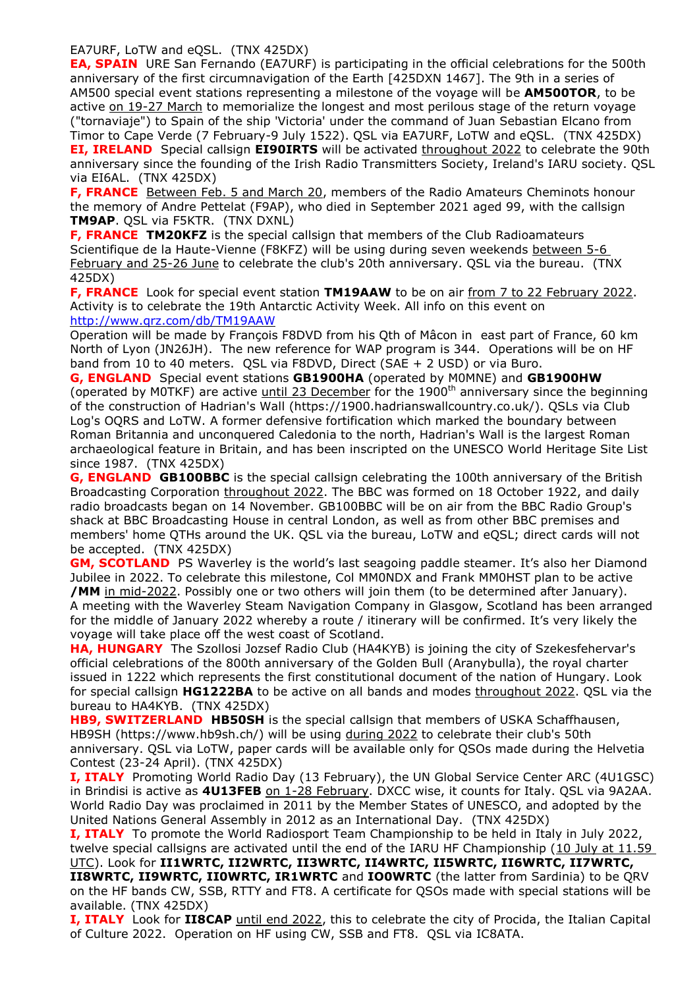EA7URF, LoTW and eQSL. (TNX 425DX)

**EA, SPAIN** URE San Fernando (EA7URF) is participating in the official celebrations for the 500th anniversary of the first circumnavigation of the Earth [425DXN 1467]. The 9th in a series of AM500 special event stations representing a milestone of the voyage will be **AM500TOR**, to be active on 19-27 March to memorialize the longest and most perilous stage of the return voyage ("tornaviaje") to Spain of the ship 'Victoria' under the command of Juan Sebastian Elcano from Timor to Cape Verde (7 February-9 July 1522). QSL via EA7URF, LoTW and eQSL. (TNX 425DX) **EI, IRELAND**Special callsign **EI90IRTS** will be activated throughout 2022 to celebrate the 90th anniversary since the founding of the Irish Radio Transmitters Society, Ireland's IARU society. QSL via EI6AL. (TNX 425DX)

**F, FRANCE** Between Feb. 5 and March 20, members of the Radio Amateurs Cheminots honour the memory of Andre Pettelat (F9AP), who died in September 2021 aged 99, with the callsign **TM9AP**. QSL via F5KTR. (TNX DXNL)

**F, FRANCE TM20KFZ** is the special callsign that members of the Club Radioamateurs Scientifique de la Haute-Vienne (F8KFZ) will be using during seven weekends between 5-6 February and 25-26 June to celebrate the club's 20th anniversary. QSL via the bureau. (TNX 425DX)

**F, FRANCE** Look for special event station **TM19AAW** to be on air from 7 to 22 February 2022. Activity is to celebrate the 19th Antarctic Activity Week. All info on this event on <http://www.qrz.com/db/TM19AAW>

Operation will be made by François F8DVD from his Qth of Mâcon in east part of France, 60 km North of Lyon (JN26JH). The new reference for WAP program is 344. Operations will be on HF band from 10 to 40 meters. QSL via F8DVD, Direct (SAE + 2 USD) or via Buro.

**G, ENGLAND** Special event stations **GB1900HA** (operated by M0MNE) and **GB1900HW** (operated by M0TKF) are active until 23 December for the 1900<sup>th</sup> anniversary since the beginning of the construction of Hadrian's Wall (https://1900.hadrianswallcountry.co.uk/). QSLs via Club Log's OQRS and LoTW. A former defensive fortification which marked the boundary between Roman Britannia and unconquered Caledonia to the north, Hadrian's Wall is the largest Roman archaeological feature in Britain, and has been inscripted on the UNESCO World Heritage Site List since 1987. (TNX 425DX)

**G, ENGLAND GB100BBC** is the special callsign celebrating the 100th anniversary of the British Broadcasting Corporation throughout 2022. The BBC was formed on 18 October 1922, and daily radio broadcasts began on 14 November. GB100BBC will be on air from the BBC Radio Group's shack at BBC Broadcasting House in central London, as well as from other BBC premises and members' home QTHs around the UK. QSL via the bureau, LoTW and eQSL; direct cards will not be accepted. (TNX 425DX)

**GM, SCOTLAND** PS Waverley is the world's last seagoing paddle steamer. It's also her Diamond Jubilee in 2022. To celebrate this milestone, Col MM0NDX and Frank MM0HST plan to be active **/MM** in mid-2022. Possibly one or two others will join them (to be determined after January). A meeting with the Waverley Steam Navigation Company in Glasgow, Scotland has been arranged for the middle of January 2022 whereby a route / itinerary will be confirmed. It's very likely the voyage will take place off the west coast of Scotland.

**HA, HUNGARY** The Szollosi Jozsef Radio Club (HA4KYB) is joining the city of Szekesfehervar's official celebrations of the 800th anniversary of the Golden Bull (Aranybulla), the royal charter issued in 1222 which represents the first constitutional document of the nation of Hungary. Look for special callsign **HG1222BA** to be active on all bands and modes throughout 2022. QSL via the bureau to HA4KYB. (TNX 425DX)

**HB9, SWITZERLAND HB50SH** is the special callsign that members of USKA Schaffhausen, HB9SH (https://www.hb9sh.ch/) will be using during 2022 to celebrate their club's 50th anniversary. QSL via LoTW, paper cards will be available only for QSOs made during the Helvetia Contest (23-24 April). (TNX 425DX)

**I, ITALY** Promoting World Radio Day (13 February), the UN Global Service Center ARC (4U1GSC) in Brindisi is active as **4U13FEB** on 1-28 February. DXCC wise, it counts for Italy. QSL via 9A2AA. World Radio Day was proclaimed in 2011 by the Member States of UNESCO, and adopted by the United Nations General Assembly in 2012 as an International Day. (TNX 425DX)

**I, ITALY** To promote the World Radiosport Team Championship to be held in Italy in July 2022, twelve special callsigns are activated until the end of the IARU HF Championship (10 July at 11.59 UTC). Look for **II1WRTC, II2WRTC, II3WRTC, II4WRTC, II5WRTC, II6WRTC, II7WRTC, II8WRTC, II9WRTC, II0WRTC, IR1WRTC** and **IO0WRTC** (the latter from Sardinia) to be QRV

on the HF bands CW, SSB, RTTY and FT8. A certificate for QSOs made with special stations will be available. (TNX 425DX)

**I, ITALY** Look for **II8CAP** until end 2022, this to celebrate the city of Procida, the Italian Capital of Culture 2022. Operation on HF using CW, SSB and FT8. QSL via IC8ATA.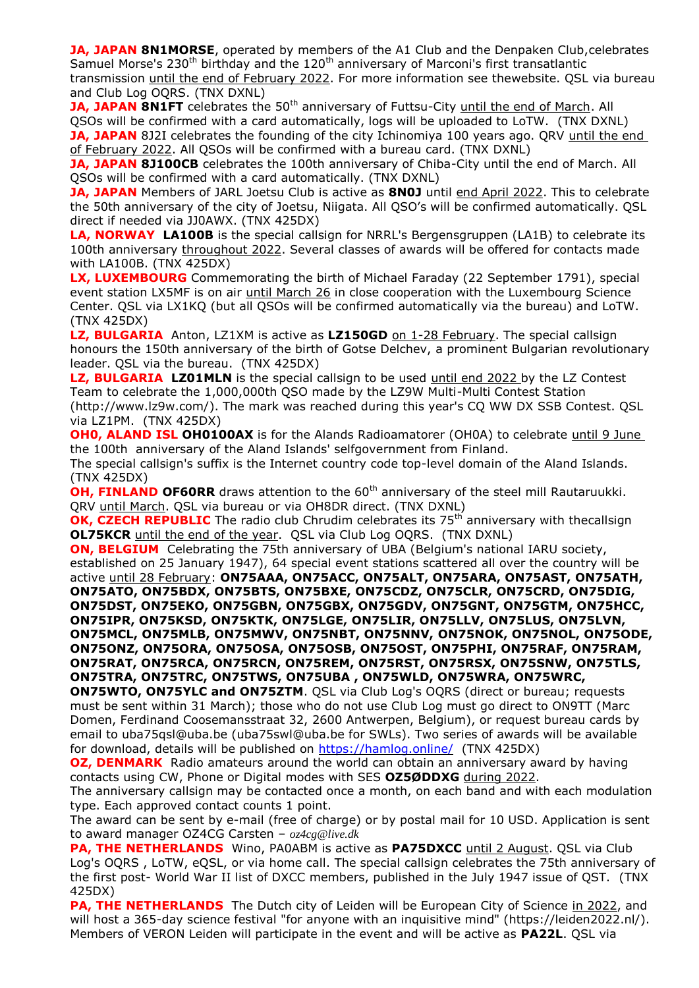**JA, JAPAN 8N1MORSE**, operated by members of the A1 Club and the Denpaken Club, celebrates Samuel Morse's 230<sup>th</sup> birthday and the 120<sup>th</sup> anniversary of Marconi's first transatlantic transmission until the end of February 2022. For more information see thewebsite. QSL via bureau and Club Log OQRS. (TNX DXNL)

**JA, JAPAN 8N1FT** celebrates the 50<sup>th</sup> anniversary of Futtsu-City until the end of March. All QSOs will be confirmed with a card automatically, logs will be uploaded to LoTW. (TNX DXNL) **JA, JAPAN** 8J2I celebrates the founding of the city Ichinomiya 100 years ago. QRV until the end of February 2022. All QSOs will be confirmed with a bureau card. (TNX DXNL)

**JA, JAPAN 8J100CB** celebrates the 100th anniversary of Chiba-City until the end of March. All QSOs will be confirmed with a card automatically. (TNX DXNL)

**JA, JAPAN** Members of JARL Joetsu Club is active as **8N0J** until end April 2022. This to celebrate the 50th anniversary of the city of Joetsu, Niigata. All QSO's will be confirmed automatically. QSL direct if needed via JJ0AWX. (TNX 425DX)

**LA, NORWAY LA100B** is the special callsign for NRRL's Bergensgruppen (LA1B) to celebrate its 100th anniversary throughout 2022. Several classes of awards will be offered for contacts made with LA100B. (TNX 425DX)

**LX, LUXEMBOURG** Commemorating the birth of Michael Faraday (22 September 1791), special event station LX5MF is on air until March 26 in close cooperation with the Luxembourg Science Center. QSL via LX1KQ (but all QSOs will be confirmed automatically via the bureau) and LoTW. (TNX 425DX)

**LZ, BULGARIA** Anton, LZ1XM is active as **LZ150GD** on 1-28 February. The special callsign honours the 150th anniversary of the birth of Gotse Delchev, a prominent Bulgarian revolutionary leader. QSL via the bureau. (TNX 425DX)

LZ, BULGARIA LZ01MLN is the special callsign to be used until end 2022 by the LZ Contest Team to celebrate the 1,000,000th QSO made by the LZ9W Multi-Multi Contest Station (http://www.lz9w.com/). The mark was reached during this year's CQ WW DX SSB Contest. QSL via LZ1PM. (TNX 425DX)

**OH0, ALAND ISL OH0100AX** is for the Alands Radioamatorer (OH0A) to celebrate until 9 June the 100th anniversary of the Aland Islands' selfgovernment from Finland.

The special callsign's suffix is the Internet country code top-level domain of the Aland Islands. (TNX 425DX)

**OH, FINLAND OF60RR** draws attention to the 60<sup>th</sup> anniversary of the steel mill Rautaruukki. QRV until March. QSL via bureau or via OH8DR direct. (TNX DXNL)

**OK, CZECH REPUBLIC** The radio club Chrudim celebrates its 75<sup>th</sup> anniversary with thecallsian **OL75KCR** until the end of the year. QSL via Club Log OQRS. (TNX DXNL)

**ON, BELGIUM** Celebrating the 75th anniversary of UBA (Belgium's national IARU society, established on 25 January 1947), 64 special event stations scattered all over the country will be active until 28 February: **ON75AAA, ON75ACC, ON75ALT, ON75ARA, ON75AST, ON75ATH, ON75ATO, ON75BDX, ON75BTS, ON75BXE, ON75CDZ, ON75CLR, ON75CRD, ON75DIG, ON75DST, ON75EKO, ON75GBN, ON75GBX, ON75GDV, ON75GNT, ON75GTM, ON75HCC, ON75IPR, ON75KSD, ON75KTK, ON75LGE, ON75LIR, ON75LLV, ON75LUS, ON75LVN, ON75MCL, ON75MLB, ON75MWV, ON75NBT, ON75NNV, ON75NOK, ON75NOL, ON75ODE, ON75ONZ, ON75ORA, ON75OSA, ON75OSB, ON75OST, ON75PHI, ON75RAF, ON75RAM, ON75RAT, ON75RCA, ON75RCN, ON75REM, ON75RST, ON75RSX, ON75SNW, ON75TLS, ON75TRA, ON75TRC, ON75TWS, ON75UBA , ON75WLD, ON75WRA, ON75WRC,** 

**ON75WTO, ON75YLC and ON75ZTM**. QSL via Club Log's OQRS (direct or bureau; requests must be sent within 31 March); those who do not use Club Log must go direct to ON9TT (Marc Domen, Ferdinand Coosemansstraat 32, 2600 Antwerpen, Belgium), or request bureau cards by email to uba75qsl@uba.be (uba75swl@uba.be for SWLs). Two series of awards will be available for download, details will be published on <https://hamlog.online/>(TNX 425DX)

**OZ, DENMARK** Radio amateurs around the world can obtain an anniversary award by having contacts using CW, Phone or Digital modes with SES **OZ5ØDDXG** during 2022.

The anniversary callsign may be contacted once a month, on each band and with each modulation type. Each approved contact counts 1 point.

The award can be sent by e-mail (free of charge) or by postal mail for 10 USD. Application is sent to award manager OZ4CG Carsten – *oz4cg@live.dk*

**PA, THE NETHERLANDS** Wino, PA0ABM is active as **PA75DXCC** until 2 August. QSL via Club Log's OQRS , LoTW, eQSL, or via home call. The special callsign celebrates the 75th anniversary of the first post- World War II list of DXCC members, published in the July 1947 issue of QST. (TNX 425DX)

**PA, THE NETHERLANDS** The Dutch city of Leiden will be European City of Science in 2022, and will host a 365-day science festival "for anyone with an inquisitive mind" (https://leiden2022.nl/). Members of VERON Leiden will participate in the event and will be active as **PA22L**. QSL via